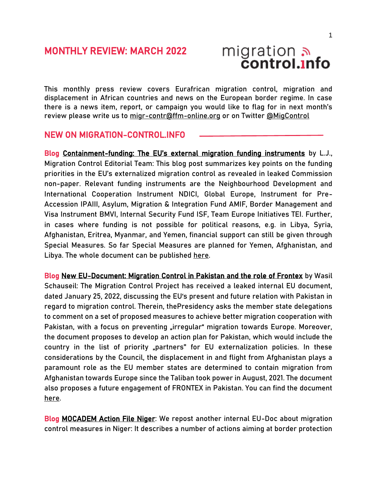

This monthly press review covers Eurafrican migration control, migration and displacement in African countries and news on the European border regime. In case there is a news item, report, or campaign you would like to flag for in next month's review please write us to [migr-contr@ffm-online.org](mailto:migr-contr@ffm-online.org) or on Twitter [@MigControl](https://twitter.com/MigControl)

#### NEW ON MIGRATION-CONTROL.INFO

Blog Containment-[funding: The EU's external migration funding instruments](https://migration-control.info/containment-funding-the-eus-external-migration-funding-instruments/) by L.J., Migration Control Editorial Team: This blog post summarizes key points on the funding priorities in the EU's externalized migration control as revealed in leaked Commission non-paper. Relevant funding instruments are the Neighbourhood Development and International Cooperation Instrument NDICI, Global Europe, Instrument for Pre-Accession IPAIII, Asylum, Migration & Integration Fund AMIF, Border Management and Visa Instrument BMVI, Internal Security Fund ISF, Team Europe Initiatives TEI. Further, in cases where funding is not possible for political reasons, e.g. in Libya, Syria, Afghanistan, Eritrea, Myanmar, and Yemen, financial support can still be given through Special Measures. So far Special Measures are planned for Yemen, Afghanistan, and Libya. The whole document can be published [here.](https://migration-control.info/wp-content/uploads/2022/03/WK_14286_2021_INIT.pdf)

Blog [New EU-Document: Migration Control in Pakistan and the role of Frontex](https://migration-control.info/new-eu-document-migration-control-in-pakistan-and-the-role-of-frontex/) by Wasil Schauseil: The Migration Control Project has received a leaked internal EU document, dated January 25, 2022, discussing the EU's present and future relation with Pakistan in regard to migration control. Therein, thePresidency asks the member state delegations to comment on a set of proposed measures to achieve better migration cooperation with Pakistan, with a focus on preventing "irregular" migration towards Europe. Moreover, the document proposes to develop an action plan for Pakistan, which would include the country in the list of priority "partners" for EU externalization policies. In these considerations by the Council, the displacement in and flight from Afghanistan plays a paramount role as the EU member states are determined to contain migration from Afghanistan towards Europe since the Taliban took power in August, 2021. The document also proposes a future engagement of FRONTEX in Pakistan. You can find the document [here.](https://migration-control.info/wp-content/uploads/2022/03/250122_Pakistan.pdf)

**Blog [MOCADEM Action File Niger:](https://migration-control.info/mocadem-action-file-niger/)** We repost another internal EU-Doc about migration control measures in Niger: It describes a number of actions aiming at border protection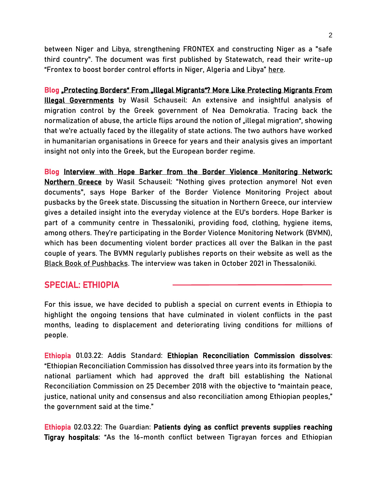between Niger and Libya, strengthening FRONTEX and constructing Niger as a "safe third country". The document was first published by Statewatch, read their write-up "Frontex to boost border control efforts in Niger, Algeria and Libya" [here.](https://www.statewatch.org/news/2022/march/frontex-to-boost-border-control-efforts-in-niger-algeria-and-libya/)

Blog Protecting Borders" From "Illegal Migrants"? More Like Protecting Migrants From [Illegal Governments](https://migration-control.info/protecting-borders-from-illegal-migrants-more-like-protecting-migrants-from-illegal-governments/) by Wasil Schauseil: An extensive and insightful analysis of migration control by the Greek government of Nea Demokratia. Tracing back the normalization of abuse, the article flips around the notion of "illegal migration", showing that we're actually faced by the illegality of state actions. The two authors have worked in humanitarian organisations in Greece for years and their analysis gives an important insight not only into the Greek, but the European border regime.

Blog [Interview with Hope Barker from the Border Violence Monitoring Network:](https://migration-control.info/interview-with-hope-barker-from-border-violence-monitoring-network-greece/)  [Northern Greece](https://migration-control.info/interview-with-hope-barker-from-border-violence-monitoring-network-greece/) by Wasil Schauseil: "Nothing gives protection anymore! Not even documents", says Hope Barker of the Border Violence Monitoring Project about pusbacks by the Greek state. Discussing the situation in Northern Greece, our interview gives a detailed insight into the everyday violence at the EU's borders. Hope Barker is part of a community centre in Thessaloniki, providing food, clothing, hygiene items, among others. They're participating in the Border Violence Monitoring Network (BVMN), which has been documenting violent border practices all over the Balkan in the past couple of years. The BVMN regularly publishes reports on their website as well as the [Black Book of Pushbacks.](https://www.borderviolence.eu/launch-event-the-black-book-of-pushbacks/) The interview was taken in October 2021 in Thessaloniki.

### SPECIAL: ETHIOPIA

For this issue, we have decided to publish a special on current events in Ethiopia to highlight the ongoing tensions that have culminated in violent conflicts in the past months, leading to displacement and deteriorating living conditions for millions of people.

Ethiopia 01.03.22: Addis Standard[: Ethiopian Reconciliation Commission dissolves:](https://addisstandard.com/news-ethiopian-reconciliation-commission-dissolves/) "Ethiopian Reconciliation Commission has dissolved three years into its formation by the national parliament which had approved the draft bill establishing the National Reconciliation Commission on 25 December 2018 with the objective to "maintain peace, justice, national unity and consensus and also reconciliation among Ethiopian peoples," the government said at the time."

Ethiopia 02.03.22: The Guardian: [Patients dying as conflict prevents supplies reaching](https://www.theguardian.com/global-development/2022/mar/02/patients-dying-as-conflict-prevents-supplies-reaching-tigray-hospitals)  [Tigray hospitals:](https://www.theguardian.com/global-development/2022/mar/02/patients-dying-as-conflict-prevents-supplies-reaching-tigray-hospitals) "As the 16-month conflict between Tigrayan forces and Ethiopian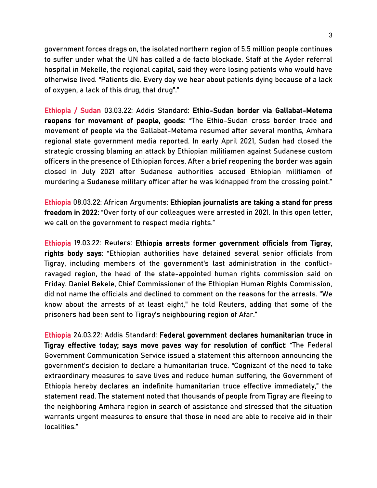government forces drags on, the isolated northern region of 5.5 million people continues to suffer under what the UN has called a de facto blockade. Staff at the Ayder referral hospital in Mekelle, the regional capital, said they were losing patients who would have otherwise lived. "Patients die. Every day we hear about patients dying because of a lack of oxygen, a lack of this drug, that drug"."

Ethiopia / Sudan 03.03.22: Addis Standar[d: Ethio-Sudan border via Gallabat-Metema](https://addisstandard.com/asdailyscoop-ethio-sudan-border-via-gallabat-metema-reopens-for-movement-of-people-goods/)  [reopens for movement of people, goods](https://addisstandard.com/asdailyscoop-ethio-sudan-border-via-gallabat-metema-reopens-for-movement-of-people-goods/): "The Ethio-Sudan cross border trade and movement of people via the Gallabat-Metema resumed after several months, Amhara regional state government media reported. In early April 2021, Sudan had closed the strategic crossing blaming an attack by Ethiopian militiamen against Sudanese custom officers in the presence of Ethiopian forces. After a brief reopening the border was again closed in July 2021 after Sudanese authorities accused Ethiopian militiamen of murdering a Sudanese military officer after he was kidnapped from the crossing point."

Ethiopia 08.03.22: African Arguments: [Ethiopian journalists are taking a stand for press](https://africanarguments.org/2022/03/ethiopian-journalists-are-taking-a-stand-for-press-freedom-in-2022/)  [freedom in 2022:](https://africanarguments.org/2022/03/ethiopian-journalists-are-taking-a-stand-for-press-freedom-in-2022/) "Over forty of our colleagues were arrested in 2021. In this open letter, we call on the government to respect media rights."

Ethiopia 19.03.22: Reuters[: Ethiopia arrests former government officials from Tigray,](https://www.reuters.com/world/africa/ethiopia-arrests-former-government-officials-tigray-rights-body-says-2022-03-18/)  [rights body says](https://www.reuters.com/world/africa/ethiopia-arrests-former-government-officials-tigray-rights-body-says-2022-03-18/): "Ethiopian authorities have detained several senior officials from Tigray, including members of the government's last administration in the conflictravaged region, the head of the state-appointed human rights commission said on Friday. Daniel Bekele, Chief Commissioner of the Ethiopian Human Rights Commission, did not name the officials and declined to comment on the reasons for the arrests. "We know about the arrests of at least eight," he told Reuters, adding that some of the prisoners had been sent to Tigray's neighbouring region of Afar."

Ethiopia 24.03.22: Addis Standard[: Federal government declares humanitarian truce in](https://addisstandard.com/update-federal-government-declares-humanitarian-truce-in-tigray-effective-today-says-move-paves-way-for-resolution-of-conflict/)  [Tigray effective today; says move paves way for resolution of conflict:](https://addisstandard.com/update-federal-government-declares-humanitarian-truce-in-tigray-effective-today-says-move-paves-way-for-resolution-of-conflict/) "The Federal Government Communication Service issued a statement this afternoon announcing the government's decision to declare a humanitarian truce. "Cognizant of the need to take extraordinary measures to save lives and reduce human suffering, the Government of Ethiopia hereby declares an indefinite humanitarian truce effective immediately," the statement read. The statement noted that thousands of people from Tigray are fleeing to the neighboring Amhara region in search of assistance and stressed that the situation warrants urgent measures to ensure that those in need are able to receive aid in their localities."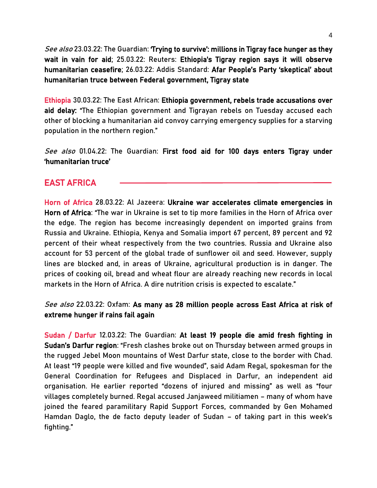See also 23.03.22: The Guardian: Trying to survive': millions in Tigray face hunger as they [wait in vain for aid;](https://www.theguardian.com/global-development/2022/mar/23/trying-to-survive-millions-in-tigray-face-hunger-as-they-wait-in-vain-for-aid) 25.03.22: Reuters: [Ethiopia's Tigray region says it will observe](https://www.reuters.com/world/africa/ethiopias-tigray-region-say-committed-observing-humanitarian-ceasefire-2022-03-25/)  [humanitarian ceasefire;](https://www.reuters.com/world/africa/ethiopias-tigray-region-say-committed-observing-humanitarian-ceasefire-2022-03-25/) 26.03.22: Addis Standard: [Afar People's Party 'skeptical' about](https://addisstandard.com/news-afar-peoples-party-skeptical-about-humanitarian-truce-between-federal-government-tigray-state/)  [humanitarian truce between Federal government, Tigray state](https://addisstandard.com/news-afar-peoples-party-skeptical-about-humanitarian-truce-between-federal-government-tigray-state/) 

Ethiopia 30.03.22: The East African[:](https://addisstandard.com/update-federal-government-declares-humanitarian-truce-in-tigray-effective-today-says-move-paves-way-for-resolution-of-conflict/) [Ethiopia government, rebels trade accusations over](https://www.theeastafrican.co.ke/tea/rest-of-africa/ethiopia-government-rebels-trade-accusations-over-aid-delay-3765042)  [aid delay:](https://www.theeastafrican.co.ke/tea/rest-of-africa/ethiopia-government-rebels-trade-accusations-over-aid-delay-3765042) "The Ethiopian government and Tigrayan rebels on Tuesday accused each other of blocking a humanitarian aid convoy carrying emergency supplies for a starving population in the northern region."

See also 01.04.22: The Guardian: First food aid for 100 days enters Tigray under ['humanitarian truce'](https://www.theguardian.com/global-development/2022/apr/01/first-food-aid-for-100-days-enters-tigray-under-humanitarian-truce?CMP=Share_AndroidApp_Other)

# EAST AFRICA

Horn of Africa 28.03.22: Al Jazeera: [Ukraine war accelerates climate emergencies in](https://www.aljazeera.com/opinions/2022/3/28/ukraine-war-accelerates-climate-emergencies-in-horn-of-africa)  [Horn of Africa:](https://www.aljazeera.com/opinions/2022/3/28/ukraine-war-accelerates-climate-emergencies-in-horn-of-africa) "The war in Ukraine is set to tip more families in the Horn of Africa over the edge. The region has become increasingly dependent on imported grains from Russia and Ukraine. Ethiopia, Kenya and Somalia import 67 percent, 89 percent and 92 percent of their wheat respectively from the two countries. Russia and Ukraine also account for 53 percent of the global trade of sunflower oil and seed. However, supply lines are blocked and, in areas of Ukraine, agricultural production is in danger. The prices of cooking oil, bread and wheat flour are already reaching new records in local markets in the Horn of Africa. A dire nutrition crisis is expected to escalate."

### See also 22.03.22: Oxfam: As many as 28 million people across East Africa at risk of [extreme hunger if rains fail again](https://www.oxfam.org/en/press-releases/many-28-million-people-across-east-africa-risk-extreme-hunger-if-rains-fail-again)

Sudan / Darfur 12.03.22: The Guardian: [At least 19 people die amid fresh fighting in](https://www.theguardian.com/world/2022/mar/12/people-die-amid-fresh-fighting-in-sudans-darfur-region)  [Sudan's Darfur region:](https://www.theguardian.com/world/2022/mar/12/people-die-amid-fresh-fighting-in-sudans-darfur-region) "Fresh clashes broke out on Thursday between armed groups in the rugged Jebel Moon mountains of West Darfur state, close to the border with Chad. At least "19 people were killed and five wounded", said Adam Regal, spokesman for the General Coordination for Refugees and Displaced in Darfur, an independent aid organisation. He earlier reported "dozens of injured and missing" as well as "four villages completely burned. Regal accused Janjaweed militiamen – many of whom have joined the feared paramilitary Rapid Support Forces, commanded by Gen Mohamed Hamdan Daglo, the de facto deputy leader of Sudan – of taking part in this week's fighting."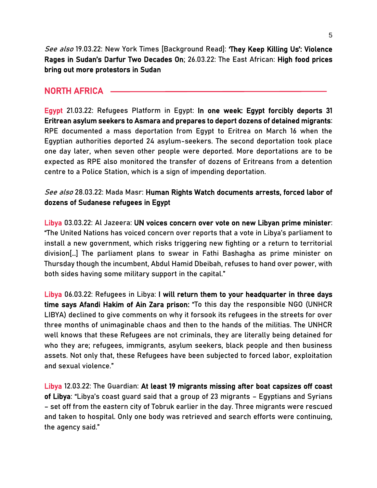See also 19.03.22: New York Times [Background Read]: They Keep Killing Us': Violence [Rages in Sudan's Darfur Two Decades On](https://www.nytimes.com/2022/03/19/world/africa/sudan-darfur.html?unlocked_article_code=AAAAAAAAAAAAAAAACEIPuomT1JKd6J17Vw1cRCfTTMQmqxCdw_PIxftm3iWka3DODm8TiPsSGYyMvE7Df6tobpwowjiSQppNOaUhWeY0zvNaOwYlbTiUlaa-ucZPJTQp-8X0V3kq3pnJUPdir2bkZ2fmIqJ0z7e2-k-LOTH1CKPUg2l2LVxmosFlfVmo3yAY1-ySRL4Or9p01fgqBpl7RC5RJ3XZ-qm1VGgtfYmOfRre6QIpWutGWjG1ndGU7r0Icgk6GkuRBTokoj56sIUATYtRaKXvLBcge978hKERAwFrK4SvAJ4wQ-vEhim-Hmrrq9wBa1tsRNy97y0&smid=url-share); 26.03.22: The East African: [High food prices](https://www.theeastafrican.co.ke/tea/news/rest-of-africa/high-food-prices-bring-out-more-protestors-in-sudan-3760958)  [bring out more protestors in Sudan](https://www.theeastafrican.co.ke/tea/news/rest-of-africa/high-food-prices-bring-out-more-protestors-in-sudan-3760958) 

## NORTH AFRICA

Egypt 21.03.22: Refugees Platform in Egypt: [In one week: Egypt forcibly deports 31](https://rpegy.org/en/in-one-week-egypt-forcibly-deports-31-eritrean-asylum-seekers-to-asmara-and-prepares-to-deport-dozens-of-detained-migrants/)  [Eritrean asylum seekers to Asmara and prepares to deport dozens of detained migrants:](https://rpegy.org/en/in-one-week-egypt-forcibly-deports-31-eritrean-asylum-seekers-to-asmara-and-prepares-to-deport-dozens-of-detained-migrants/) RPE documented a mass deportation from Egypt to Eritrea on March 16 when the Egyptian authorities deported 24 asylum-seekers. The second deportation took place one day later, when seven other people were deported. More deportations are to be expected as RPE also monitored the transfer of dozens of Eritreans from a detention centre to a Police Station, which is a sign of impending deportation.

#### See also 28.03.22: Mada Masr: [Human Rights Watch documents arrests, forced labor of](https://www.madamasr.com/en/2022/03/28/news/u/human-rights-watch-documents-arrests-forced-labor-of-dozens-of-sudanese-refugees-in-egypt/)  [dozens of Sudanese refugees in Egypt](https://www.madamasr.com/en/2022/03/28/news/u/human-rights-watch-documents-arrests-forced-labor-of-dozens-of-sudanese-refugees-in-egypt/)

Libya 03.03.22: Al Jazeera: [UN voices concern over vote on new Libyan prime minister:](https://www.aljazeera.com/news/2022/3/3/un-voices-concern-over-vote-on-new-libyan-prime-minister) "The United Nations has voiced concern over reports that a vote in Libya's parliament to install a new government, which risks triggering new fighting or a return to territorial division[…] The parliament plans to swear in Fathi Bashagha as prime minister on Thursday though the incumbent, Abdul Hamid Dbeibah, refuses to hand over power, with both sides having some military support in the capital."

Libya 06.03.22: Refugees in Libya: [I will return them to your headquarter in three days](https://www.refugeesinlibya.org/post/i-will-return-them-to-your-headquarter-in-three-days-time-says-afandi-hakim-of-ain-zara-prison)  [time says Afandi Hakim of Ain Zara prison:](https://www.refugeesinlibya.org/post/i-will-return-them-to-your-headquarter-in-three-days-time-says-afandi-hakim-of-ain-zara-prison) "To this day the responsible NGO (UNHCR LIBYA) declined to give comments on why it forsook its refugees in the streets for over three months of unimaginable chaos and then to the hands of the militias. The UNHCR well knows that these Refugees are not criminals, they are literally being detained for who they are; refugees, immigrants, asylum seekers, black people and then business assets. Not only that, these Refugees have been subjected to forced labor, exploitation and sexual violence."

Libya 12.03.22: The Guardian: [At least 19 migrants missing after boat capsizes off coast](https://www.theguardian.com/world/2022/mar/12/at-least-19-migrants-missing-after-boat-capsizes-off-coast-of-libya)  [of Libya](https://www.theguardian.com/world/2022/mar/12/at-least-19-migrants-missing-after-boat-capsizes-off-coast-of-libya): "Libya's coast guard said that a group of 23 migrants – Egyptians and Syrians – set off from the eastern city of Tobruk earlier in the day. Three migrants were rescued and taken to hospital. Only one body was retrieved and search efforts were continuing, the agency said."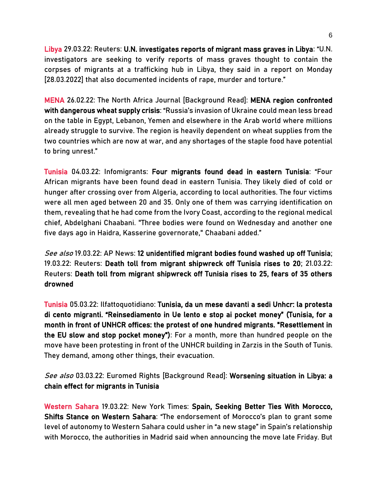Libya 29.03.22: Reuters: [U.N. investigates reports of migrant mass graves in Libya:](https://www.reuters.com/world/africa/un-investigates-reports-migrant-mass-graves-libya-2022-03-28/) "U.N. investigators are seeking to verify reports of mass graves thought to contain the corpses of migrants at a trafficking hub in Libya, they said in a report on Monday [28.03.2022] that also documented incidents of rape, murder and torture."

MENA 26.02.22: The North Africa Journal [Background Read]: [MENA region confronted](https://north-africa.com/2022/02/mena-region-confronted-with-dangerous-wheat-supply-crisis/)  [with dangerous wheat supply crisis:](https://north-africa.com/2022/02/mena-region-confronted-with-dangerous-wheat-supply-crisis/) "Russia's invasion of Ukraine could mean less bread on the table in Egypt, Lebanon, Yemen and elsewhere in the Arab world where millions already struggle to survive. The region is heavily dependent on wheat supplies from the two countries which are now at war, and any shortages of the staple food have potential to bring unrest."

Tunisia 04.03.22: Infomigrants[: Four migrants found dead in eastern Tunisia:](https://www.infomigrants.net/en/post/38960/four-migrants-found-dead-in-eastern-tunisia) "Four African migrants have been found dead in eastern Tunisia. They likely died of cold or hunger after crossing over from Algeria, according to local authorities. The four victims were all men aged between 20 and 35. Only one of them was carrying identification on them, revealing that he had come from the Ivory Coast, according to the regional medical chief, Abdelghani Chaabani. "Three bodies were found on Wednesday and another one five days ago in Haidra, Kasserine governorate," Chaabani added."

See also 19.03.22: AP News[: 12 unidentified migrant bodies found washed up off Tunisia;](https://apnews.com/article/europe-africa-tunisia-migration-north-africa-b5585aaff639d1844224137da88b659f) 19.03.22: Reuters[: Death toll from migrant shipwreck off Tunisia rises to 20;](https://www.reuters.com/world/africa/death-toll-migrant-shipwreck-off-tunisia-rises-17-2022-03-19/) 21.03.22: Reuters[: Death toll from migrant shipwreck off Tunisia rises to 25, fears of 35 others](https://www.reuters.com/world/africa/death-toll-migrant-shipwreck-off-tunisia-rises-25-fears-35-others-drowned-2022-03-20/)  [drowned](https://www.reuters.com/world/africa/death-toll-migrant-shipwreck-off-tunisia-rises-25-fears-35-others-drowned-2022-03-20/) 

Tunisia 05.03.22: Ilfattoquotidiano: [Tunisia, da un mese davanti a sedi Unhcr: la protesta](https://www.ilfattoquotidiano.it/2022/03/05/tunisia-da-oltre-un-mese-oltre-100-migranti-protestano-davanti-alle-sedi-della-unhcr-reinsediamento-lento-e-pocket-money-sospesi/6516253/)  [di cento migranti. "Reinsediamento in Ue lento e stop ai pocket money"](https://www.ilfattoquotidiano.it/2022/03/05/tunisia-da-oltre-un-mese-oltre-100-migranti-protestano-davanti-alle-sedi-della-unhcr-reinsediamento-lento-e-pocket-money-sospesi/6516253/) (Tunisia, for a month in front of UNHCR offices: the protest of one hundred migrants. "Resettlement in the EU slow and stop pocket money"): For a month, more than hundred people on the move have been protesting in front of the UNHCR building in Zarzis in the South of Tunis. They demand, among other things, their evacuation.

See also 03.03.22: Euromed Rights [Background Read]: Worsening situation in Libya: a [chain effect for migrants in Tunisia](https://euromedrights.org/publication/worsening-situation-in-libya-a-chain-effect-for-migrants-in-tunisia/) 

Western Sahara 19.03.22: New York Times: [Spain, Seeking Better Ties With Morocco,](https://www.nytimes.com/2022/03/19/world/europe/spain-morocco-western-sahara.html)  [Shifts Stance on Western Sahara:](https://www.nytimes.com/2022/03/19/world/europe/spain-morocco-western-sahara.html) "The endorsement of Morocco's plan to grant some level of autonomy to Western Sahara could usher in "a new stage" in Spain's relationship with Morocco, the authorities in Madrid said when announcing the move late Friday. But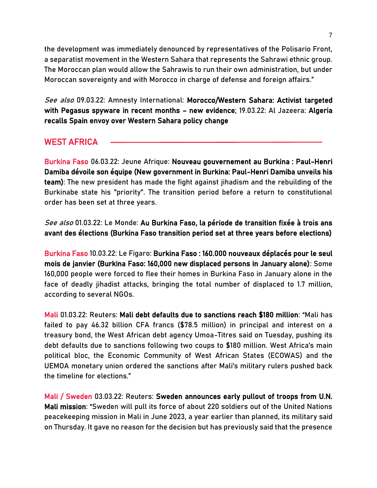the development was immediately denounced by representatives of the Polisario Front, a separatist movement in the Western Sahara that represents the Sahrawi ethnic group. The Moroccan plan would allow the Sahrawis to run their own administration, but under Moroccan sovereignty and with Morocco in charge of defense and foreign affairs."

See also 09.03.22: Amnesty International: Morocco/Western Sahara: Activist targeted [with Pegasus spyware in recent months](https://www.amnesty.org/en/latest/news/2022/03/morocco-western-sahara-activist-nso-pegasus/) – new evidence; 19.03.22: Al Jazeera: [Algeria](https://www.aljazeera.com/news/2022/3/19/algeria-recalls-spain-envoy-over-western-sahara-policy-change)  [recalls Spain envoy over Western Sahara policy change](https://www.aljazeera.com/news/2022/3/19/algeria-recalls-spain-envoy-over-western-sahara-policy-change) 

# WEST AFRICA

Burkina Faso 06.03.22: Jeune Afrique: [Nouveau gouvernement au Burkina : Paul-Henri](https://www.jeuneafrique.com/1323854/politique/burkina-faso-la-junte-nomme-un-gouvernement-pour-diriger-la-transition/)  [Damiba dévoile son équipe \(New government in Burkina: Paul-Henri Damiba unveils his](https://www.jeuneafrique.com/1323854/politique/burkina-faso-la-junte-nomme-un-gouvernement-pour-diriger-la-transition/)  [team\):](https://www.jeuneafrique.com/1323854/politique/burkina-faso-la-junte-nomme-un-gouvernement-pour-diriger-la-transition/) The new president has made the fight against jihadism and the rebuilding of the Burkinabe state his "priority". The transition period before a return to constitutional order has been set at three years.

See also 01.03.22: Le Monde: [Au Burkina Faso, la période de transition fixée à trois ans](https://www.lemonde.fr/afrique/article/2022/03/01/au-burkina-faso-le-chef-de-la-junte-fixe-a-trois-ans-la-periode-de-transition-avant-des-elections_6115637_3212.html)  [avant des élections \(Burkina Faso transition period set at three years before elections\)](https://www.lemonde.fr/afrique/article/2022/03/01/au-burkina-faso-le-chef-de-la-junte-fixe-a-trois-ans-la-periode-de-transition-avant-des-elections_6115637_3212.html) 

Burkina Faso 10.03.22: Le Figaro: [Burkina Faso : 160.000 nouveaux déplacés pour le seul](https://www.lefigaro.fr/flash-actu/burkina-faso-160-000-nouveaux-deplaces-pour-le-seul-mois-de-janvier-20220310)  [mois de janvier](https://www.lefigaro.fr/flash-actu/burkina-faso-160-000-nouveaux-deplaces-pour-le-seul-mois-de-janvier-20220310) (Burkina Faso: 160,000 new displaced persons in January alone): Some 160,000 people were forced to flee their homes in Burkina Faso in January alone in the face of deadly jihadist attacks, bringing the total number of displaced to 1.7 million, according to several NGOs.

Mali 01.03.22: Reuters: [Mali debt defaults due to sanctions reach \\$180 million](https://www.reuters.com/world/africa/mali-debt-defaults-due-sanctions-reach-180-million-2022-03-01/): "Mali has failed to pay 46.32 billion CFA francs (\$78.5 million) in principal and interest on a treasury bond, the West African debt agency Umoa-Titres said on Tuesday, pushing its debt defaults due to sanctions following two coups to \$180 million. West Africa's main political bloc, the Economic Community of West African States (ECOWAS) and the UEMOA monetary union ordered the sanctions after Mali's military rulers pushed back the timeline for elections."

Mali / Sweden 03.03.22: Reuters: [Sweden announces early pullout of troops from U.N.](https://www.reuters.com/world/africa/sweden-announces-early-pullout-troops-un-mali-mission-2022-03-03/)  [Mali mission](https://www.reuters.com/world/africa/sweden-announces-early-pullout-troops-un-mali-mission-2022-03-03/): "Sweden will pull its force of about 220 soldiers out of the United Nations peacekeeping mission in Mali in June 2023, a year earlier than planned, its military said on Thursday. It gave no reason for the decision but has previously said that the presence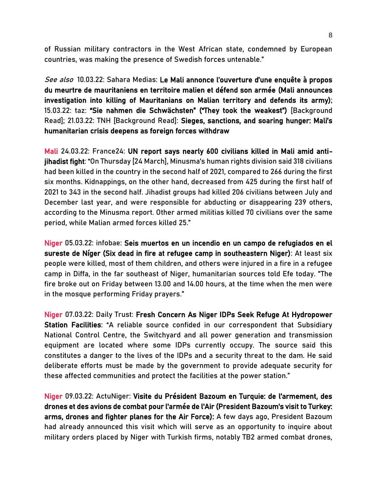of Russian military contractors in the West African state, condemned by European countries, was making the presence of Swedish forces untenable."

See also 10.03.22: Sahara Medias: [Le Mali annonce l'ouverture d'une enquête à propos](https://fr.saharamedias.net/le-mali-annonce-louverture-dune-enquete-a-propos-du-meurtre-de-mauritaniens-en-territoire-malien-et-defend-son-armee/)  [du meurtre de mauritaniens en territoire malien et défend son armée](https://fr.saharamedias.net/le-mali-annonce-louverture-dune-enquete-a-propos-du-meurtre-de-mauritaniens-en-territoire-malien-et-defend-son-armee/) (Mali announces investigation into killing of Mauritanians on Malian territory and defends its army); 15.03.22: taz: ["Sie nahmen die Schwächsten" \("They took the weakest"\)](https://taz.de/Human-Rights-Watch-zu-Mali/!5838499/) [Background Read]; 21.03.22: TNH [Background Read]: [Sieges, sanctions, and soaring hunger: Mali's](https://www.thenewhumanitarian.org/news/2022/03/21/Mali-crisis-Barkhane-Sieges-sanctions-hunger-Wagner)  [humanitarian crisis deepens as foreign forces withdraw](https://www.thenewhumanitarian.org/news/2022/03/21/Mali-crisis-Barkhane-Sieges-sanctions-hunger-Wagner)

Mali 24.03.22: France24: [UN report says nearly 600 civilians killed in Mali amid anti](https://www.france24.com/en/africa/20220324-un-report-says-nearly-600-civilians-killed-in-mali-amid-anti-jihadist-fight)[jihadist fight:](https://www.france24.com/en/africa/20220324-un-report-says-nearly-600-civilians-killed-in-mali-amid-anti-jihadist-fight) "On Thursday [24 March], Minusma's human rights division said 318 civilians had been killed in the country in the second half of 2021, compared to 266 during the first six months. Kidnappings, on the other hand, decreased from 425 during the first half of 2021 to 343 in the second half. Jihadist groups had killed 206 civilians between July and December last year, and were responsible for abducting or disappearing 239 others, according to the Minusma report. Other armed militias killed 70 civilians over the same period, while Malian armed forces killed 25."

Niger 05.03.22: infobae[: Seis muertos en un incendio en un campo de refugiados en el](https://www.infobae.com/america/agencias/2022/03/05/seis-muertos-en-un-incendio-en-un-campo-de-refugiados-en-el-sureste-de-niger/)  [sureste de Níger](https://www.infobae.com/america/agencias/2022/03/05/seis-muertos-en-un-incendio-en-un-campo-de-refugiados-en-el-sureste-de-niger/) (Six dead in fire at refugee camp in southeastern Niger): At least six people were killed, most of them children, and others were injured in a fire in a refugee camp in Diffa, in the far southeast of Niger, humanitarian sources told Efe today. "The fire broke out on Friday between 13.00 and 14.00 hours, at the time when the men were in the mosque performing Friday prayers."

Niger 07.03.22: Daily Trust: [Fresh Concern As Niger IDPs Seek Refuge At Hydropower](https://dailytrust.com/fresh-concern-as-niger-idps-seek-refuge-at-hydropower-station-facilities)  [Station Facilities](https://dailytrust.com/fresh-concern-as-niger-idps-seek-refuge-at-hydropower-station-facilities): "A reliable source confided in our correspondent that Subsidiary National Control Centre, the Switchyard and all power generation and transmission equipment are located where some IDPs currently occupy. The source said this constitutes a danger to the lives of the IDPs and a security threat to the dam. He said deliberate efforts must be made by the government to provide adequate security for these affected communities and protect the facilities at the power station."

Niger 09.03.22: ActuNiger: [Visite du Président Bazoum en Turquie: de l'armement, des](https://www.actuniger.com/politique/17965-visite-du-president-bazoum-en-turquie-de-l-armement-des-drones-et-des-avions-de-combat-pour-l-armee-de-l-air.html)  [drones et des avions de combat pour l'armée de l'Air \(President Bazoum's visit to Turkey:](https://www.actuniger.com/politique/17965-visite-du-president-bazoum-en-turquie-de-l-armement-des-drones-et-des-avions-de-combat-pour-l-armee-de-l-air.html)  [arms, drones and fighter planes for the Air Force\):](https://www.actuniger.com/politique/17965-visite-du-president-bazoum-en-turquie-de-l-armement-des-drones-et-des-avions-de-combat-pour-l-armee-de-l-air.html) A few days ago, President Bazoum had already announced this visit which will serve as an opportunity to inquire about military orders placed by Niger with Turkish firms, notably TB2 armed combat drones,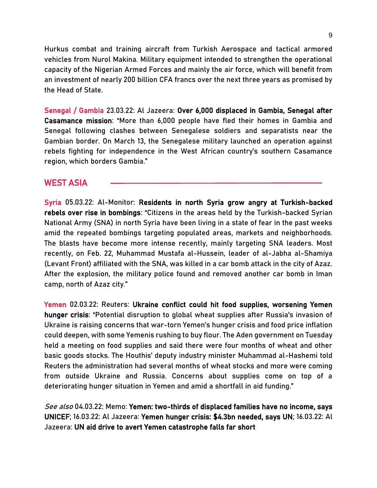Hurkus combat and training aircraft from Turkish Aerospace and tactical armored vehicles from Nurol Makina. Military equipment intended to strengthen the operational capacity of the Nigerian Armed Forces and mainly the air force, which will benefit from an investment of nearly 200 billion CFA francs over the next three years as promised by the Head of State.

Senegal / Gambia 23.03.22: Al Jazeera: [Over 6,000 displaced in Gambia, Senegal after](https://www.aljazeera.com/news/2022/3/23/over-6000-displaced-in-gambia-and-senegal-after-casamance-missio)  [Casamance mission:](https://www.aljazeera.com/news/2022/3/23/over-6000-displaced-in-gambia-and-senegal-after-casamance-missio) "More than 6,000 people have fled their homes in Gambia and Senegal following clashes between Senegalese soldiers and separatists near the Gambian border. On March 13, the Senegalese military launched an operation against rebels fighting for independence in the West African country's southern Casamance region, which borders Gambia."

### WEST ASIA

Syria 05.03.22: Al-Monitor: [Residents in north Syria grow angry at Turkish-backed](https://www.al-monitor.com/originals/2022/02/residents-north-syria-grow-angry-turkish-backed-rebels-over-rise-bombings)  [rebels over rise in bombings](https://www.al-monitor.com/originals/2022/02/residents-north-syria-grow-angry-turkish-backed-rebels-over-rise-bombings): "Citizens in the areas held by the Turkish-backed Syrian National Army (SNA) in north Syria have been living in a state of fear in the past weeks amid the repeated bombings targeting populated areas, markets and neighborhoods. The blasts have become more intense recently, mainly targeting SNA leaders. Most recently, on Feb. 22, Muhammad Mustafa al-Hussein, leader of al-Jabha al-Shamiya (Levant Front) affiliated with the SNA, was killed in a car bomb attack in the city of Azaz. After the explosion, the military police found and removed another car bomb in Iman camp, north of Azaz city."

Yemen 02.03.22: Reuters[: Ukraine conflict could hit food supplies, worsening Yemen](https://www.reuters.com/markets/funds/ukraine-conflict-could-hit-food-supplies-worsening-yemen-hunger-crisis-2022-03-02/)  [hunger crisis](https://www.reuters.com/markets/funds/ukraine-conflict-could-hit-food-supplies-worsening-yemen-hunger-crisis-2022-03-02/): "Potential disruption to global wheat supplies after Russia's invasion of Ukraine is raising concerns that war-torn Yemen's hunger crisis and food price inflation could deepen, with some Yemenis rushing to buy flour. The Aden government on Tuesday held a meeting on food supplies and said there were four months of wheat and other basic goods stocks. The Houthis' deputy industry minister Muhammad al-Hashemi told Reuters the administration had several months of wheat stocks and more were coming from outside Ukraine and Russia. Concerns about supplies come on top of a deteriorating hunger situation in Yemen and amid a shortfall in aid funding."

See also 04.03.22: Memo[: Yemen: two-thirds of displaced families have no income, says](https://www.middleeastmonitor.com/20220304-yemen-two-thirds-of-displaced-families-have-no-income-says-unicef/)  [UNICEF;](https://www.middleeastmonitor.com/20220304-yemen-two-thirds-of-displaced-families-have-no-income-says-unicef/) 16.03.22: Al Jazeera[: Yemen hunger crisis: \\$4.3bn needed, says UN;](https://www.aljazeera.com/news/2022/3/16/4-3-billion-needed-to-avert-yemen-hunger-crisis) 16.03.22: Al Jazeera[: UN aid drive to avert Yemen catastrophe falls far short](https://www.aljazeera.com/news/2022/3/16/un-aid-drive-to-avert-yemen-catastrophe-falls-far-short)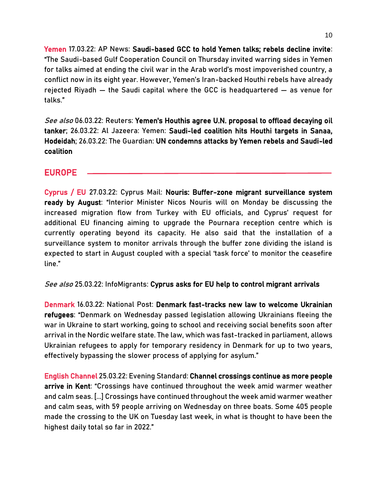Yemen 17.03.22: AP News[: Saudi-based GCC to hold Yemen talks; rebels decline invite:](https://apnews.com/article/middle-east-dubai-united-arab-emirates-saudi-arabia-yemen-0c941026c895d7e7aad99487d43af35d) "The Saudi-based Gulf Cooperation Council on Thursday invited warring sides in Yemen for talks aimed at ending the civil war in the Arab world's most impoverished country, a conflict now in its eight year. However, Yemen's Iran-backed Houthi rebels have already rejected Riyadh — the Saudi capital where the GCC is headquartered — as venue for talks."

See also 06.03.22: Reuters: Yemen's Houthis agree U.N. proposal to offload decaying oil [tanker;](https://www.reuters.com/world/middle-east/yemens-houthis-agree-un-proposal-offload-decaying-oil-tanker-2022-03-06/) 26.03.22: Al Jazeera: Yemen: [Saudi-led coalition hits Houthi targets in Sanaa,](https://www.aljazeera.com/news/2022/3/26/saudi-air-raids-hit-yemens-houthis-after-attack-on-aramco-depot)  [Hodeidah;](https://www.aljazeera.com/news/2022/3/26/saudi-air-raids-hit-yemens-houthis-after-attack-on-aramco-depot) 26.03.22: The Guardian: [UN condemns attacks by Yemen rebels and Saudi-led](https://www.theguardian.com/world/2022/mar/26/un-condemns-attacks-by-yemen-rebels-and-saudi-led-coalition)  [coalition](https://www.theguardian.com/world/2022/mar/26/un-condemns-attacks-by-yemen-rebels-and-saudi-led-coalition) 

### EUROPE

Cyprus / EU 27.03.22: Cyprus Mail: [Nouris: Buffer-zone migrant surveillance system](https://cyprus-mail.com/2022/03/27/nouris-buffer-zone-migrant-surveillance-system-ready-by-august/)  [ready by August](https://cyprus-mail.com/2022/03/27/nouris-buffer-zone-migrant-surveillance-system-ready-by-august/): "Interior Minister Nicos Nouris will on Monday be discussing the increased migration flow from Turkey with EU officials, and Cyprus' request for additional EU financing aiming to upgrade the Pournara reception centre which is currently operating beyond its capacity. He also said that the installation of a surveillance system to monitor arrivals through the buffer zone dividing the island is expected to start in August coupled with a special 'task force' to monitor the ceasefire line."

See also 25.03.22: InfoMigrants: [Cyprus asks for EU help to control migrant arrivals](https://www.infomigrants.net/en/post/39452/cyprus-asks-for-eu-help-to-control-migrant-arrivals)

Denmark 16.03.22: National Post[: Denmark fast-tracks new law to welcome Ukrainian](https://nationalpost.com/pmn/news-pmn/crime-pmn/denmark-fast-tracks-new-law-to-welcome-ukrainian-refugees)  [refugees](https://nationalpost.com/pmn/news-pmn/crime-pmn/denmark-fast-tracks-new-law-to-welcome-ukrainian-refugees): "Denmark on Wednesday passed legislation allowing Ukrainians fleeing the war in Ukraine to start working, going to school and receiving social benefits soon after arrival in the Nordic welfare state. The law, which was fast-tracked in parliament, allows Ukrainian refugees to apply for temporary residency in Denmark for up to two years, effectively bypassing the slower process of applying for asylum."

English Channel 25.03.22: Evening Standard[: Channel crossings continue as more people](https://www.standard.co.uk/news/uk/dungeness-english-france-b990325.html)  [arrive in Kent](https://www.standard.co.uk/news/uk/dungeness-english-france-b990325.html): "Crossings have continued throughout the week amid warmer weather and calm seas. [...] Crossings have continued throughout the week amid warmer weather and calm seas, with 59 people arriving on Wednesday on three boats. Some 405 people made the crossing to the UK on Tuesday last week, in what is thought to have been the highest daily total so far in 2022."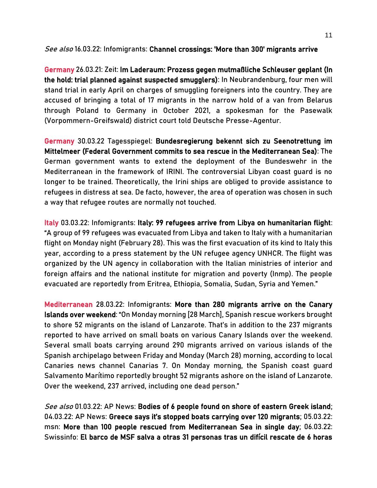See also 16.03.22: Infomigrants: Channel crossings: 'More than 300' migrants arrive

Germany 26.03.21: Zeit: [Im Laderaum: Prozess gegen mutmaßliche Schleuser geplant](https://www.zeit.de/news/2022-03/26/im-laderaum-prozess-gegen-mutmassliche-schleuser-geplant) (In the hold: trial planned against suspected smugglers): In Neubrandenburg, four men will stand trial in early April on charges of smuggling foreigners into the country. They are accused of bringing a total of 17 migrants in the narrow hold of a van from Belarus through Poland to Germany in October 2021, a spokesman for the Pasewalk (Vorpommern-Greifswald) district court told Deutsche Presse-Agentur.

Germany 30.03.22 Tagesspiegel: [Bundesregierung bekennt sich zu Seenotrettung im](https://www.tagesspiegel.de/politik/bundeswehr-einsatz-vor-kueste-libyens-bundesregierung-bekennt-sich-zu-seenotrettung-im-mittelmeer/28214442.html)  [Mittelmeer](https://www.tagesspiegel.de/politik/bundeswehr-einsatz-vor-kueste-libyens-bundesregierung-bekennt-sich-zu-seenotrettung-im-mittelmeer/28214442.html) (Federal Government commits to sea rescue in the Mediterranean Sea): The German government wants to extend the deployment of the Bundeswehr in the Mediterranean in the framework of IRINI. The controversial Libyan coast guard is no longer to be trained. Theoretically, the Irini ships are obliged to provide assistance to refugees in distress at sea. De facto, however, the area of operation was chosen in such a way that refugee routes are normally not touched.

Italy 03.03.22: Infomigrants: [Italy: 99 refugees arrive from Libya on humanitarian flight:](https://www.infomigrants.net/en/post/38923/italy-99-refugees-arrive-from-libya-on-humanitarian-flight) "A group of 99 refugees was evacuated from Libya and taken to Italy with a humanitarian flight on Monday night (February 28). This was the first evacuation of its kind to Italy this year, according to a press statement by the UN refugee agency UNHCR. The flight was organized by the UN agency in collaboration with the Italian ministries of interior and foreign affairs and the national institute for migration and poverty (Inmp). The people evacuated are reportedly from Eritrea, Ethiopia, Somalia, Sudan, Syria and Yemen."

Mediterranean 28.03.22: Infomigrant[s: More than 280 migrants arrive on the Canary](https://www.infomigrants.net/en/post/39474/more-than-280-migrants-arrive-on-the-canary-islands-over-weekend)  [Islands over weekend](https://www.infomigrants.net/en/post/39474/more-than-280-migrants-arrive-on-the-canary-islands-over-weekend): "On Monday morning [28 March], Spanish rescue workers brought to shore 52 migrants on the island of Lanzarote. That's in addition to the 237 migrants reported to have arrived on small boats on various Canary Islands over the weekend. Several small boats carrying around 290 migrants arrived on various islands of the Spanish archipelago between Friday and Monday (March 28) morning, according to local Canaries news channel Canarias 7. On Monday morning, the Spanish coast guard Salvamento Marítimo reportedly brought 52 migrants ashore on the island of Lanzarote. Over the weekend, 237 arrived, including one dead person."

See also 01.03.22: AP News: [Bodies of 6 people found on shore of eastern Greek island;](https://apnews.com/article/europe-middle-east-greece-migration-european-union-15be71f1bd15402105102b1a61b415b4) 04.03.22: AP News: [Greece says it's stopped boats carrying over 120 migrants](https://apnews.com/article/europe-middle-east-greece-turkey-migration-ebd95da9554d2f9223d1ca2c293bb297); 05.03.22: msn: [More than 100 people rescued from Mediterranean Sea in single day;](https://www.msn.com/en-xl/news/other/more-than-100-people-rescued-from-mediterranean-sea-in-single-day/ar-AAUEEoD#image=2) 06.03.22: Swissinfo: [El barco de MSF salva a otras 31 personas tras un difícil rescate de 6 horas](https://www.swissinfo.ch/spa/migraci%C3%B3n-mediterr%C3%A1neo_el-barco-de-msf-salva-a-otras-31-personas-tras-un-dif%C3%ADcil-rescate-de-6-horas/47407196)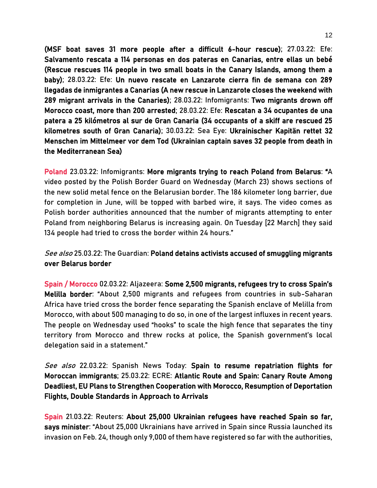(MSF boat saves 31 more people after a difficult 6-hour rescue); 27.03.22: Efe: [Salvamento rescata a 114 personas en dos pateras en Canarias, entre ellas un bebé](https://www.efe.com/efe/canarias/sociedad/salvamento-rescata-a-114-personas-en-dos-pateras-canarias-entre-ellas-un-bebe/50001312-4770538) (Rescue rescues 114 people in two small boats in the Canary Islands, among them a baby); 28.03.22: Efe: [Un nuevo rescate en Lanzarote cierra fin de semana con 289](https://www.efe.com/efe/canarias/sociedad/un-nuevo-rescate-en-lanzarote-cierra-fin-de-semana-con-289-llegadas-inmigrantes-a-canarias/50001312-4771044)  [llegadas de inmigrantes a Canarias](https://www.efe.com/efe/canarias/sociedad/un-nuevo-rescate-en-lanzarote-cierra-fin-de-semana-con-289-llegadas-inmigrantes-a-canarias/50001312-4771044) (A new rescue in Lanzarote closes the weekend with 289 migrant arrivals in the Canaries); 28.03.22: Infomigrants: [Two migrants drown off](https://www.infomigrants.net/en/post/39465/two-migrants-drown-off-morocco-coast-more-than-200-arrested)  [Morocco coast, more than 200 arrested;](https://www.infomigrants.net/en/post/39465/two-migrants-drown-off-morocco-coast-more-than-200-arrested) 28.03.22: Efe[: Rescatan a 34 ocupantes de una](https://www.efe.com/efe/canarias/sociedad/rescatan-a-34-ocupantes-de-una-patera-25-kilometros-al-sur-gran-canaria/50001312-4771448)  [patera a 25 kilómetros al sur de Gran Canaria](https://www.efe.com/efe/canarias/sociedad/rescatan-a-34-ocupantes-de-una-patera-25-kilometros-al-sur-gran-canaria/50001312-4771448) (34 occupants of a skiff are rescued 25 kilometres south of Gran Canaria); 30.03.22: Sea Eye: [Ukrainischer Kapitän rettet 32](https://sea-eye.org/ukrainischer-kapitaen-rettet-32-menschen-im-mittelmeer-vor-dem-tod/)  [Menschen im Mittelmeer vor dem Tod \(](https://sea-eye.org/ukrainischer-kapitaen-rettet-32-menschen-im-mittelmeer-vor-dem-tod/)Ukrainian captain saves 32 people from death in the Mediterranean Sea)

Poland 23.03.22: Infomigrants: [More migrants trying to reach Poland from Belarus:](https://www.infomigrants.net/en/post/39396/more-migrants-trying-to-reach-poland-from-belarus) "A video posted by the Polish Border Guard on Wednesday (March 23) shows sections of the new solid metal fence on the Belarusian border. The 186 kilometer long barrier, due for completion in June, will be topped with barbed wire, it says. The video comes as Polish border authorities announced that the number of migrants attempting to enter Poland from neighboring Belarus is increasing again. On Tuesday [22 March] they said 134 people had tried to cross the border within 24 hours."

See also 25.03.22: The Guardian: Poland detains activists accused of smuggling migrants [over Belarus border](https://www.theguardian.com/global-development/2022/mar/25/poland-detains-activists-accused-of-smuggling-migrants-over-belarus-border)

Spain / Morocco 02.03.22: Aljazeera: [Some 2,500 migrants, refugees try to cross Spain's](https://www.aljazeera.com/news/2022/3/2/about-2500-sub-saharan-migrants-storm-spains-melilla-border)  [Melilla border](https://www.aljazeera.com/news/2022/3/2/about-2500-sub-saharan-migrants-storm-spains-melilla-border): "About 2,500 migrants and refugees from countries in sub-Saharan Africa have tried cross the border fence separating the Spanish enclave of Melilla from Morocco, with about 500 managing to do so, in one of the largest influxes in recent years. The people on Wednesday used "hooks" to scale the high fence that separates the tiny territory from Morocco and threw rocks at police, the Spanish government's local delegation said in a statement."

See also 22.03.22: Spanish News Today: Spain to resume repatriation flights for [Moroccan immigrants;](https://spanishnewstoday.com/spain-to-resume-repatriation-flights-for-moroccan-immigrants_1752677-a.html) 25.03.22: ECRE: [Atlantic Route and Spain: Canary Route Among](https://ecre.org/atlantic-route-and-spain-canary-route-among-deadliest-eu-plans-to-strengthen-cooperation-with-morocco-resumption-of-deportation-flights-double-standards-in-approach-to-arrivals/)  [Deadliest, EU Plans to Strengthen Cooperation with Morocco, Resumption of Deportation](https://ecre.org/atlantic-route-and-spain-canary-route-among-deadliest-eu-plans-to-strengthen-cooperation-with-morocco-resumption-of-deportation-flights-double-standards-in-approach-to-arrivals/)  [Flights, Double Standards in Approach to Arrivals](https://ecre.org/atlantic-route-and-spain-canary-route-among-deadliest-eu-plans-to-strengthen-cooperation-with-morocco-resumption-of-deportation-flights-double-standards-in-approach-to-arrivals/) 

Spain 21.03.22: Reuters[: About 25,000 Ukrainian refugees have reached Spain so far,](https://www.reuters.com/world/europe/about-25000-ukrainian-refugees-have-reached-spain-so-far-says-minister-2022-03-21/)  [says minister](https://www.reuters.com/world/europe/about-25000-ukrainian-refugees-have-reached-spain-so-far-says-minister-2022-03-21/): "About 25,000 Ukrainians have arrived in Spain since Russia launched its invasion on Feb. 24, though only 9,000 of them have registered so far with the authorities,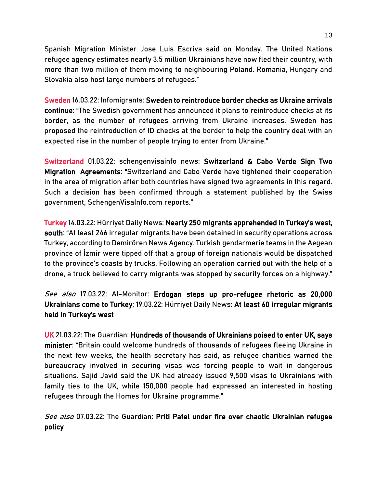Spanish Migration Minister Jose Luis Escriva said on Monday. The United Nations refugee agency estimates nearly 3.5 million Ukrainians have now fled their country, with more than two million of them moving to neighbouring Poland. Romania, Hungary and Slovakia also host large numbers of refugees."

Sweden 16.03.22: Infomigrants[: Sweden to reintroduce border checks as Ukraine arrivals](https://www.infomigrants.net/en/post/39242/sweden-to-reintroduce-border-checks-as-ukraine-arrivals-continue)  [continue](https://www.infomigrants.net/en/post/39242/sweden-to-reintroduce-border-checks-as-ukraine-arrivals-continue): "The Swedish government has announced it plans to reintroduce checks at its border, as the number of refugees arriving from Ukraine increases. Sweden has proposed the reintroduction of ID checks at the border to help the country deal with an expected rise in the number of people trying to enter from Ukraine."

Switzerland 01.03.22: schengenvisainfo news[: Switzerland & Cabo Verde Sign Two](https://www.schengenvisainfo.com/news/switzerland-cabo-verde-sign-two-migration-agreements/)  [Migration Agreements](https://www.schengenvisainfo.com/news/switzerland-cabo-verde-sign-two-migration-agreements/): "Switzerland and Cabo Verde have tightened their cooperation in the area of migration after both countries have signed two agreements in this regard. Such a decision has been confirmed through a statement published by the Swiss government, SchengenVisaInfo.com reports."

Turkey 14.03.22: Hürriyet Daily News: [Nearly 250 migrants apprehended in Turkey's west,](https://www.hurriyetdailynews.com/nearly-250-migrants-apprehended-in-turkeys-west-south-172215)  [south](https://www.hurriyetdailynews.com/nearly-250-migrants-apprehended-in-turkeys-west-south-172215): "At least 246 irregular migrants have been detained in security operations across Turkey, according to Demirören News Agency. Turkish gendarmerie teams in the Aegean province of İzmir were tipped off that a group of foreign nationals would be dispatched to the province's coasts by trucks. Following an operation carried out with the help of a drone, a truck believed to carry migrants was stopped by security forces on a highway."

See also 17.03.22: Al-Monitor: Erdogan steps up pro-refugee rhetoric as 20,000 [Ukrainians come to Turkey;](https://www.al-monitor.com/originals/2022/03/erdogan-steps-pro-refugee-rhetoric-20000-ukrainians-come-turkey) 19.03.22: Hürriyet Daily News[: At least 60 irregular migrants](https://www.hurriyetdailynews.com/at-least-60-irregular-migrants-held-in-turkeys-west-172316)  [held in Turkey's west](https://www.hurriyetdailynews.com/at-least-60-irregular-migrants-held-in-turkeys-west-172316)

UK 21.03.22: The Guardian[: Hundreds of thousands of Ukrainians poised to enter UK, says](https://www.theguardian.com/politics/2022/mar/21/hundreds-of-thousands-of-ukrainian-refugees-poised-to-enter-uk-says-sajid-javid)  [minister](https://www.theguardian.com/politics/2022/mar/21/hundreds-of-thousands-of-ukrainian-refugees-poised-to-enter-uk-says-sajid-javid): "Britain could welcome hundreds of thousands of refugees fleeing Ukraine in the next few weeks, the health secretary has said, as refugee charities warned the bureaucracy involved in securing visas was forcing people to wait in dangerous situations. Sajid Javid said the UK had already issued 9,500 visas to Ukrainians with family ties to the UK, while 150,000 people had expressed an interested in hosting refugees through the Homes for Ukraine programme."

See also 07.03.22: The Guardian: Priti Patel under fire over chaotic Ukrainian refugee [policy](https://www.theguardian.com/world/2022/mar/07/uk-minister-denies-plans-for-humanitarian-route-for-ukrainian-refugees)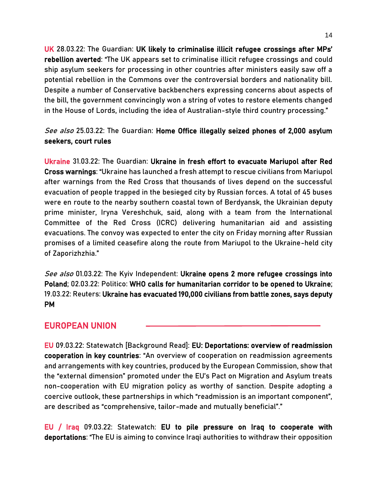UK 28.03.22: The Guardian: [UK likely to criminalise illicit refugee crossings after MPs'](https://www.theguardian.com/world/2022/mar/22/uk-set-to-criminalise-illicit-refugee-crossings-after-commons-rebellion-averted)  [rebellion averted](https://www.theguardian.com/world/2022/mar/22/uk-set-to-criminalise-illicit-refugee-crossings-after-commons-rebellion-averted): "The UK appears set to criminalise illicit refugee crossings and could ship asylum seekers for processing in other countries after ministers easily saw off a potential rebellion in the Commons over the controversial borders and nationality bill. Despite a number of Conservative backbenchers expressing concerns about aspects of the bill, the government convincingly won a string of votes to restore elements changed in the House of Lords, including the idea of Australian-style third country processing."

See also 25.03.22: The Guardian: Home Office illegally seized phones of 2,000 asylum [seekers, court rules](https://www.theguardian.com/uk-news/2022/mar/25/home-office-illegally-seized-asylum-seekers-phones)

Ukraine 31.03.22: The Guardian[: Ukraine in fresh effort to evacuate Mariupol after Red](https://www.theguardian.com/world/2022/mar/31/ukraine-in-fresh-effort-to-evacuate-mariupol-after-red-cross-warnings)  [Cross warnings](https://www.theguardian.com/world/2022/mar/31/ukraine-in-fresh-effort-to-evacuate-mariupol-after-red-cross-warnings): "Ukraine has launched a fresh attempt to rescue civilians from Mariupol after warnings from the Red Cross that thousands of lives depend on the successful evacuation of people trapped in the besieged city by Russian forces. A total of 45 buses were en route to the nearby southern coastal town of Berdyansk, the Ukrainian deputy prime minister, Iryna Vereshchuk, said, along with a team from the International Committee of the Red Cross (ICRC) delivering humanitarian aid and assisting evacuations. The convoy was expected to enter the city on Friday morning after Russian promises of a limited ceasefire along the route from Mariupol to the Ukraine-held city of Zaporizhzhia."

See also 01.03.22: The Kyiv Independent: Ukraine opens 2 more refugee crossings into [Poland;](https://kyivindependent.com/national/ukraine-opens-2-more-refugee-crossings-into-poland/) 02.03.22: Politico[: WHO calls for humanitarian corridor to be opened to Ukraine;](https://www.politico.eu/article/who-calls-for-humanitarian-corridor-to-be-opened-to-kyiv-ukraine/) 19.03.22: Reuters[: Ukraine has evacuated 190,000 civilians from battle zones, says deputy](https://www.reuters.com/world/europe/ukraine-has-evacuated-190000-civilians-battle-zones-says-deputy-pm-2022-03-19/)  [PM](https://www.reuters.com/world/europe/ukraine-has-evacuated-190000-civilians-battle-zones-says-deputy-pm-2022-03-19/) 

## EUROPEAN UNION

EU 09.03.22: Statewatch [Background Read]: [EU: Deportations: overview of readmission](https://www.statewatch.org/news/2022/march/eu-deportations-overview-of-readmission-cooperation-in-key-countries/)  [cooperation in key countries](https://www.statewatch.org/news/2022/march/eu-deportations-overview-of-readmission-cooperation-in-key-countries/): "An overview of cooperation on readmission agreements and arrangements with key countries, produced by the European Commission, show that the "external dimension" promoted under the EU's Pact on Migration and Asylum treats non-cooperation with EU migration policy as worthy of sanction. Despite adopting a coercive outlook, these partnerships in which "readmission is an important component", are described as "comprehensive, tailor-made and mutually beneficial"."

EU / Iraq 09.03.22: Statewatch: [EU to pile pressure on Iraq to cooperate with](https://www.statewatch.org/news/2022/march/eu-to-pile-pressure-on-iraq-to-cooperate-with-deportations/)  [deportations](https://www.statewatch.org/news/2022/march/eu-to-pile-pressure-on-iraq-to-cooperate-with-deportations/): "The EU is aiming to convince Iraqi authorities to withdraw their opposition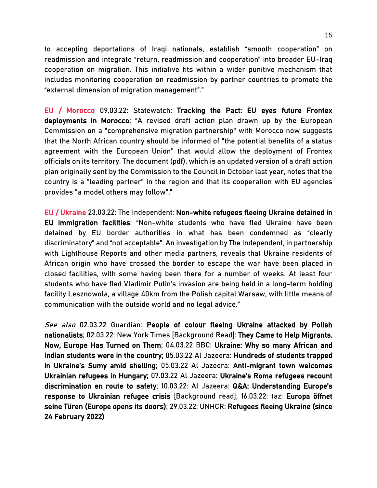to accepting deportations of Iraqi nationals, establish "smooth cooperation" on readmission and integrate "return, readmission and cooperation" into broader EU-Iraq cooperation on migration. This initiative fits within a wider punitive mechanism that includes monitoring cooperation on readmission by partner countries to promote the "external dimension of migration management"."

EU / Morocco 09.03.22: Statewatch: [Tracking the Pact: EU eyes future Frontex](https://www.statewatch.org/news/2022/march/tracking-the-pact-eu-eyes-future-frontex-deployments-in-morocco/)  [deployments in Morocco](https://www.statewatch.org/news/2022/march/tracking-the-pact-eu-eyes-future-frontex-deployments-in-morocco/): "A revised draft action plan drawn up by the European Commission on a "comprehensive migration partnership" with Morocco now suggests that the North African country should be informed of "the potential benefits of a status agreement with the European Union" that would allow the deployment of Frontex officials on its territory. The document (pdf), which is an updated version of a draft action plan originally sent by the Commission to the Council in October last year, notes that the country is a "leading partner" in the region and that its cooperation with EU agencies provides "a model others may follow"."

EU / Ukraine 23.03.22: The Independent: [Non-white refugees fleeing Ukraine detained in](https://www.independent.co.uk/news/world/europe/ukraine-refugees-detention-international-students-b2041310.html)  [EU immigration facilities](https://www.independent.co.uk/news/world/europe/ukraine-refugees-detention-international-students-b2041310.html): "Non-white students who have fled Ukraine have been detained by EU border authorities in what has been condemned as "clearly discriminatory" and "not acceptable". An investigation by The Independent, in partnership with Lighthouse Reports and other media partners, reveals that Ukraine residents of African origin who have crossed the border to escape the war have been placed in closed facilities, with some having been there for a number of weeks. At least four students who have fled Vladimir Putin's invasion are being held in a long-term holding facility Lesznowola, a village 40km from the Polish capital Warsaw, with little means of communication with the outside world and no legal advice."

See also 02.03.22 Guardian: People of colour fleeing Ukraine attacked by Polish [nationalists;](https://www.theguardian.com/global-development/2022/mar/02/people-of-colour-fleeing-ukraine-attacked-by-polish-nationalists) 02.03.22: New York Times [Background Read]: [They Came to Help Migrants.](https://www.nytimes.com/2022/03/02/magazine/greece-migration-ngos.html)  [Now, Europe Has Turned on Them;](https://www.nytimes.com/2022/03/02/magazine/greece-migration-ngos.html) 04.03.22 BBC: [Ukraine: Why so many African and](https://www.bbc.co.uk/news/world-africa-60603226)  [Indian students were in the country;](https://www.bbc.co.uk/news/world-africa-60603226) 05.03.22 Al Jazeera: [Hundreds of students trapped](https://www.aljazeera.com/news/2022/3/5/foreign-students-trapped-sumy-ukraine-russia-war)  [in Ukraine's Sumy amid shelling](https://www.aljazeera.com/news/2022/3/5/foreign-students-trapped-sumy-ukraine-russia-war); 05.03.22 Al Jazeera: [Anti-migrant town welcomes](https://www.aljazeera.com/news/2022/3/4/anti-migrant-town-welcomes-ukrainian-refugees-in-hungary)  [Ukrainian refugees in Hungary;](https://www.aljazeera.com/news/2022/3/4/anti-migrant-town-welcomes-ukrainian-refugees-in-hungary) 07.03.22 Al Jazeera: [Ukraine's Roma refugees recount](https://www.aljazeera.com/news/2022/3/7/ukraines-roma-refugees-recount-discrimination-on-route-to-safety) [discrimination en route to safety;](https://www.aljazeera.com/news/2022/3/7/ukraines-roma-refugees-recount-discrimination-on-route-to-safety) 10.03.22: Al Jazeera: [Q&A: Understanding Europe's](https://www.aljazeera.com/news/2022/3/10/qa-why-europe-welcomed-ukrainian-refugees-but-not-syrians)  [response to Ukrainian refugee crisis](https://www.aljazeera.com/news/2022/3/10/qa-why-europe-welcomed-ukrainian-refugees-but-not-syrians) [Background read]; 16.03.22: taz: [Europa öffnet](https://taz.de/Krieg-in-der-Ukraine/!5838347/)  [seine Türen](https://taz.de/Krieg-in-der-Ukraine/!5838347/) (Europe opens its doors); 29.03.22: UNHCR[: Refugees fleeing Ukraine \(since](https://data2.unhcr.org/en/situations/ukraine)  [24 February 2022\)](https://data2.unhcr.org/en/situations/ukraine)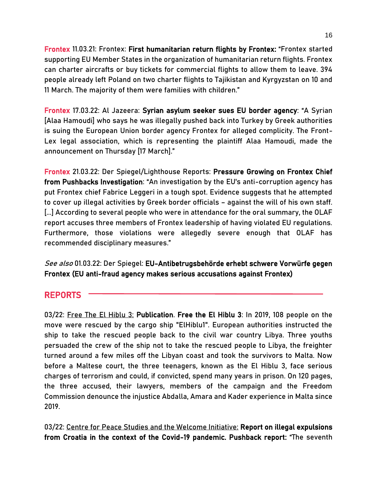Frontex 11.03.21: Frontex: [First humanitarian return flights by Frontex:](https://frontex.europa.eu/media-centre/news/news-release/first-humanitarian-return-flights-by-frontex-r3mnqc) "Frontex started supporting EU Member States in the organization of humanitarian return flights. Frontex can charter aircrafts or buy tickets for commercial flights to allow them to leave. 394 people already left Poland on two charter flights to Tajikistan and Kyrgyzstan on 10 and 11 March. The majority of them were families with children."

Frontex 17.03.22: Al Jazeera[: Syrian asylum seeker sues EU border agency](https://www.aljazeera.com/news/2022/3/17/syrian-asylum-seeker-sues-eu-border-agency): "A Syrian [Alaa Hamoudi] who says he was illegally pushed back into Turkey by Greek authorities is suing the European Union border agency Frontex for alleged complicity. The Front-Lex legal association, which is representing the plaintiff Alaa Hamoudi, made the announcement on Thursday [17 March]."

Frontex 21.03.22: Der Spiegel/Lighthouse Reports: [Pressure Growing on Frontex Chief](https://www.spiegel.de/international/europe/we-have-a-lot-of-evidence-pressure-growing-on-frontex-chief-from-pushbacks-investigation-a-047934ed-5f94-44c8-8474-df974644f002)  [from Pushbacks Investigation:](https://www.spiegel.de/international/europe/we-have-a-lot-of-evidence-pressure-growing-on-frontex-chief-from-pushbacks-investigation-a-047934ed-5f94-44c8-8474-df974644f002) "An investigation by the EU's anti-corruption agency has put Frontex chief Fabrice Leggeri in a tough spot. Evidence suggests that he attempted to cover up illegal activities by Greek border officials – against the will of his own staff. [...] According to several people who were in attendance for the oral summary, the OLAF report accuses three members of Frontex leadership of having violated EU regulations. Furthermore, those violations were allegedly severe enough that OLAF has recommended disciplinary measures."

See also 01.03.22: Der Spiegel: [EU-Antibetrugsbehörde erhebt schwere Vorwürfe gegen](https://www.spiegel.de/ausland/eu-antibetrugsbehoerde-erhebt-schwere-vorwuerfe-gegen-frontex-a-1d445ef2-cbcc-4227-90b4-697481aeb2c7)  [Frontex](https://www.spiegel.de/ausland/eu-antibetrugsbehoerde-erhebt-schwere-vorwuerfe-gegen-frontex-a-1d445ef2-cbcc-4227-90b4-697481aeb2c7) (EU anti-fraud agency makes serious accusations against Frontex)

## REPORTS

03/22: Free The El Hiblu 3: [Publication. Free the El Hiblu 3:](https://elhiblu3.info/FreeEH3_book.pdf) In 2019, 108 people on the move were rescued by the cargo ship "ElHiblu1". European authorities instructed the ship to take the rescued people back to the civil war country Libya. Three youths persuaded the crew of the ship not to take the rescued people to Libya, the freighter turned around a few miles off the Libyan coast and took the survivors to Malta. Now before a Maltese court, the three teenagers, known as the El Hiblu 3, face serious charges of terrorism and could, if convicted, spend many years in prison. On 120 pages, the three accused, their lawyers, members of the campaign and the Freedom Commission denounce the injustice Abdalla, Amara and Kader experience in Malta since 2019.

03/22: Centre for Peace Studies and the Welcome Initiative: Report on illegal expulsions [from Croatia in the context of the Covid-19 pandemic. Pushback report:](https://www.cms.hr/system/publication/pdf/174/Report_on_Illegal_Expulsions_from_Croatia_in_the_Context_of_the_COVID-19_Pandemic.pdf) "The seventh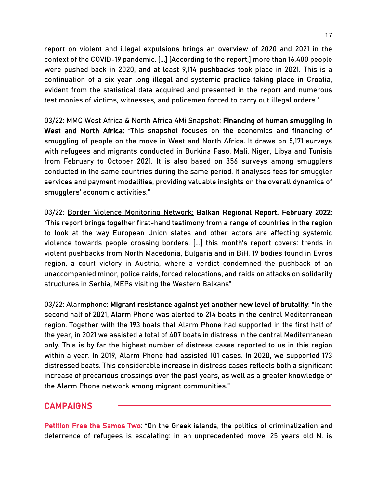report on violent and illegal expulsions brings an overview of 2020 and 2021 in the context of the COVID-19 pandemic. [...] [According to the report,] more than 16,400 people were pushed back in 2020, and at least 9,114 pushbacks took place in 2021. This is a continuation of a six year long illegal and systemic practice taking place in Croatia, evident from the statistical data acquired and presented in the report and numerous testimonies of victims, witnesses, and policemen forced to carry out illegal orders."

03/22: MMC West Africa & North Africa 4Mi Snapshot: [Financing of human smuggling in](https://mixedmigration.org/wp-content/uploads/2022/03/Financing_of_human_smuggling_in_West_and_North_Africa.pdf)  [West and North Africa:](https://mixedmigration.org/wp-content/uploads/2022/03/Financing_of_human_smuggling_in_West_and_North_Africa.pdf) "This snapshot focuses on the economics and financing of smuggling of people on the move in West and North Africa. It draws on 5,171 surveys with refugees and migrants conducted in Burkina Faso, Mali, Niger, Libya and Tunisia from February to October 2021. It is also based on 356 surveys among smugglers conducted in the same countries during the same period. It analyses fees for smuggler services and payment modalities, providing valuable insights on the overall dynamics of smugglers' economic activities."

03/22: Border Violence Monitoring Network: [Balkan Regional Report. February 2022:](https://www.borderviolence.eu/balkan-regional-report-february-2022/) "This report brings together first-hand testimony from a range of countries in the region to look at the way European Union states and other actors are affecting systemic violence towards people crossing borders. [...] this month's report covers: trends in violent pushbacks from North Macedonia, Bulgaria and in BiH, 19 bodies found in Evros region, a court victory in Austria, where a verdict condemned the pushback of an unaccompanied minor, police raids, forced relocations, and raids on attacks on solidarity structures in Serbia, MEPs visiting the Western Balkans"

03/22: Alarmphone: [Migrant resistance against yet another new level of brutality:](https://alarmphone.org/en/2022/03/02/migrant-resistance-against-yet-another-new-level-of-brutality/) "In the second half of 2021, Alarm Phone was alerted to 214 boats in the central Mediterranean region. Together with the 193 boats that Alarm Phone had supported in the first half of the year, in 2021 we assisted a total of 407 boats in distress in the central Mediterranean only. This is by far the highest number of distress cases reported to us in this region within a year. In 2019, Alarm Phone had assisted 101 cases. In 2020, we supported 173 distressed boats. This considerable increase in distress cases reflects both a significant increase of precarious crossings over the past years, as well as a greater knowledge of the Alarm Phone network among migrant communities."

## CAMPAIGNS

Petition [Free the Samos T](https://freethesamostwo.com/)wo: "On the Greek islands, the politics of criminalization and deterrence of refugees is escalating: in an unprecedented move, 25 years old N. is